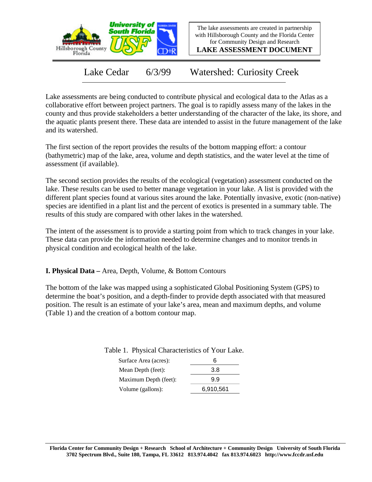

The lake assessments are created in partnership with Hillsborough County and the Florida Center for Community Design and Research

**LAKE ASSESSMENT DOCUMENT**

Lake Cedar 6/3/99 Watershed: Curiosity Creek

Lake assessments are being conducted to contribute physical and ecological data to the Atlas as a collaborative effort between project partners. The goal is to rapidly assess many of the lakes in the county and thus provide stakeholders a better understanding of the character of the lake, its shore, and the aquatic plants present there. These data are intended to assist in the future management of the lake and its watershed.

The first section of the report provides the results of the bottom mapping effort: a contour (bathymetric) map of the lake, area, volume and depth statistics, and the water level at the time of assessment (if available).

The second section provides the results of the ecological (vegetation) assessment conducted on the lake. These results can be used to better manage vegetation in your lake. A list is provided with the different plant species found at various sites around the lake. Potentially invasive, exotic (non-native) species are identified in a plant list and the percent of exotics is presented in a summary table. The results of this study are compared with other lakes in the watershed.

The intent of the assessment is to provide a starting point from which to track changes in your lake. These data can provide the information needed to determine changes and to monitor trends in physical condition and ecological health of the lake.

**I. Physical Data –** Area, Depth, Volume, & Bottom Contours

The bottom of the lake was mapped using a sophisticated Global Positioning System (GPS) to determine the boat's position, and a depth-finder to provide depth associated with that measured position. The result is an estimate of your lake's area, mean and maximum depths, and volume (Table 1) and the creation of a bottom contour map.

| -- -- --- , --- --<br>_______________ |     |
|---------------------------------------|-----|
| Surface Area (acres):                 | ห   |
| Mean Depth (feet):                    | 3.8 |
| Maximum Depth (feet):                 | 99  |

Table 1. Physical Characteristics of Your Lake.

Volume (gallons): 6,910,561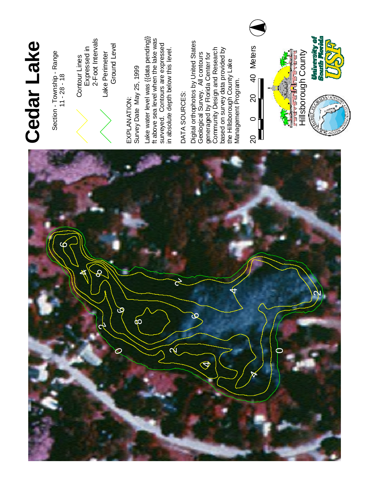

Section - Township - Range  $11 - 28 - 18$ 



E X P L A N ATIO N : S u r v e y Date M a y 25, 1999 La k e water level was {{data pending}} f t a b o v e sea level when the lake w a s s u rv eyed. Contours a r e expressed



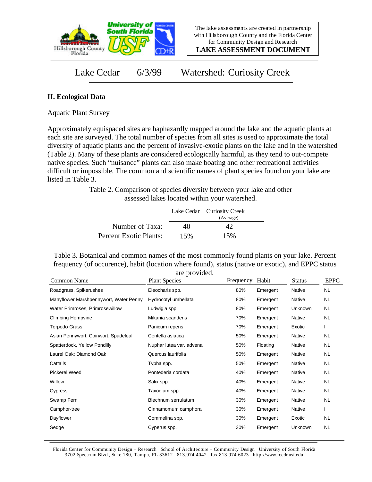

**LAKE ASSESSMENT DOCUMENT**

Lake Cedar 6/3/99 Watershed: Curiosity Creek

## **II. Ecological Data**

Aquatic Plant Survey

Approximately equispaced sites are haphazardly mapped around the lake and the aquatic plants at each site are surveyed. The total number of species from all sites is used to approximate the total diversity of aquatic plants and the percent of invasive-exotic plants on the lake and in the watershed (Table 2). Many of these plants are considered ecologically harmful, as they tend to out-compete native species. Such "nuisance" plants can also make boating and other recreational activities difficult or impossible. The common and scientific names of plant species found on your lake are listed in Table 3.

> Table 2. Comparison of species diversity between your lake and other assessed lakes located within your watershed.

|                        |     | Lake Cedar Curiosity Creek<br>(Average) |  |
|------------------------|-----|-----------------------------------------|--|
| Number of Taxa:        | 40  | 42                                      |  |
| Percent Exotic Plants: | 15% | 15%                                     |  |

Table 3. Botanical and common names of the most commonly found plants on your lake. Percent frequency (of occurence), habit (location where found), status (native or exotic), and EPPC status are provided.

| Common Name                            | are provided.<br><b>Plant Species</b> | Frequency | Habit    | <b>Status</b> | <b>EPPC</b> |
|----------------------------------------|---------------------------------------|-----------|----------|---------------|-------------|
| Roadgrass, Spikerushes                 | Eleocharis spp.                       | 80%       | Emergent | Native        | <b>NL</b>   |
| Manyflower Marshpennywort, Water Penny | Hydrocotyl umbellata                  | 80%       | Emergent | Native        | NL          |
| Water Primroses, Primrosewillow        | Ludwigia spp.                         | 80%       | Emergent | Unknown       | <b>NL</b>   |
| <b>Climbing Hempvine</b>               | Mikania scandens                      | 70%       | Emergent | <b>Native</b> | <b>NL</b>   |
| <b>Torpedo Grass</b>                   | Panicum repens                        | 70%       | Emergent | Exotic        |             |
| Asian Pennywort, Coinwort, Spadeleaf   | Centella asiatica                     | 50%       | Emergent | Native        | NL.         |
| Spatterdock, Yellow Pondlily           | Nuphar lutea var. advena              | 50%       | Floating | <b>Native</b> | <b>NL</b>   |
| Laurel Oak; Diamond Oak                | Quercus laurifolia                    | 50%       | Emergent | Native        | NL.         |
| Cattails                               | Typha spp.                            | 50%       | Emergent | Native        | NL.         |
| Pickerel Weed                          | Pontederia cordata                    | 40%       | Emergent | Native        | NL.         |
| Willow                                 | Salix spp.                            | 40%       | Emergent | Native        | NL.         |
| Cypress                                | Taxodium spp.                         | 40%       | Emergent | Native        | NL.         |
| Swamp Fern                             | Blechnum serrulatum                   | 30%       | Emergent | Native        | NL          |
| Camphor-tree                           | Cinnamomum camphora                   | 30%       | Emergent | Native        |             |
| Dayflower                              | Commelina spp.                        | 30%       | Emergent | Exotic        | <b>NL</b>   |
| Sedge                                  | Cyperus spp.                          | 30%       | Emergent | Unknown       | <b>NL</b>   |

Florida Center for Community Design + Research School of Architecture + Community Design University of South Florida 3702 Spectrum Blvd., Suite 180, Tampa, FL 33612 813.974.4042 fax 813.974.6023 http://www.fccdr.usf.edu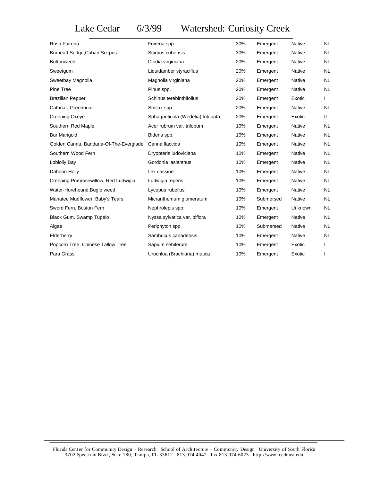## Lake Cedar 6/3/99 Watershed: Curiosity Creek

| Rush Fuirena                           | Fuirena spp.                      | 30% | Emergent  | <b>Native</b> | <b>NL</b> |
|----------------------------------------|-----------------------------------|-----|-----------|---------------|-----------|
| <b>Burhead Sedge, Cuban Scirpus</b>    | Scirpus cubensis                  | 30% | Emergent  | Native        | NL.       |
| <b>Buttonweed</b>                      | Diodia virginiana                 | 20% | Emergent  | Native        | <b>NL</b> |
| Sweetgum                               | Liquidamber styraciflua           | 20% | Emergent  | Native        | <b>NL</b> |
| Sweetbay Magnolia                      | Magnolia virginiana               | 20% | Emergent  | Native        | <b>NL</b> |
| Pine Tree                              | Pinus spp.                        | 20% | Emergent  | Native        | <b>NL</b> |
| <b>Brazilian Pepper</b>                | Schinus terebinthifolius          | 20% | Emergent  | Exotic        |           |
| Catbriar, Greenbriar                   | Smilax spp.                       | 20% | Emergent  | Native        | NL.       |
| Creeping Oxeye                         | Sphagneticola (Wedelia) trilobata | 20% | Emergent  | Exotic        | Ш.        |
| Southern Red Maple                     | Acer rubrum var. trilobum         | 10% | Emergent  | Native        | <b>NL</b> |
| <b>Bur Marigold</b>                    | Bidens spp.                       | 10% | Emergent  | Native        | NL.       |
| Golden Canna, Bandana-Of-The-Everglade | Canna flaccida                    | 10% | Emergent  | Native        | <b>NL</b> |
| Southern Wood Fern                     | Dryopteris ludoviciana            | 10% | Emergent  | Native        | <b>NL</b> |
| Loblolly Bay                           | Gordonia lasianthus               | 10% | Emergent  | Native        | <b>NL</b> |
| Dahoon Holly                           | llex cassine                      | 10% | Emergent  | Native        | <b>NL</b> |
| Creeping Primrosewillow, Red Ludwigia  | Ludwigia repens                   | 10% | Emergent  | <b>Native</b> | <b>NL</b> |
| Water-Horehound, Bugle weed            | Lycopus rubellus                  | 10% | Emergent  | Native        | NL.       |
| Manatee Mudflower, Baby's Tears        | Micranthemum glomeratum           | 10% | Submersed | Native        | <b>NL</b> |
| Sword Fern, Boston Fern                | Nephrolepis spp.                  | 10% | Emergent  | Unknown       | <b>NL</b> |
| Black Gum, Swamp Tupelo                | Nyssa sylvatica var. biflora      | 10% | Emergent  | Native        | NL.       |
| Algae                                  | Periphyton spp.                   | 10% | Submersed | Native        | <b>NL</b> |
| Elderberry                             | Sambucus canadensis               | 10% | Emergent  | Native        | <b>NL</b> |
| Popcorn Tree, Chinese Tallow Tree      | Sapium sebiferum                  | 10% | Emergent  | Exotic        |           |
| Para Grass                             | Urochloa (Brachiaria) mutica      | 10% | Emergent  | Exotic        |           |
|                                        |                                   |     |           |               |           |

Florida Center for Community Design + Research School of Architecture + Community Design University of South Florida 3702 Spectrum Blvd., Suite 180, Tampa, FL 33612 813.974.4042 fax 813.974.6023 http://www.fccdr.usf.edu